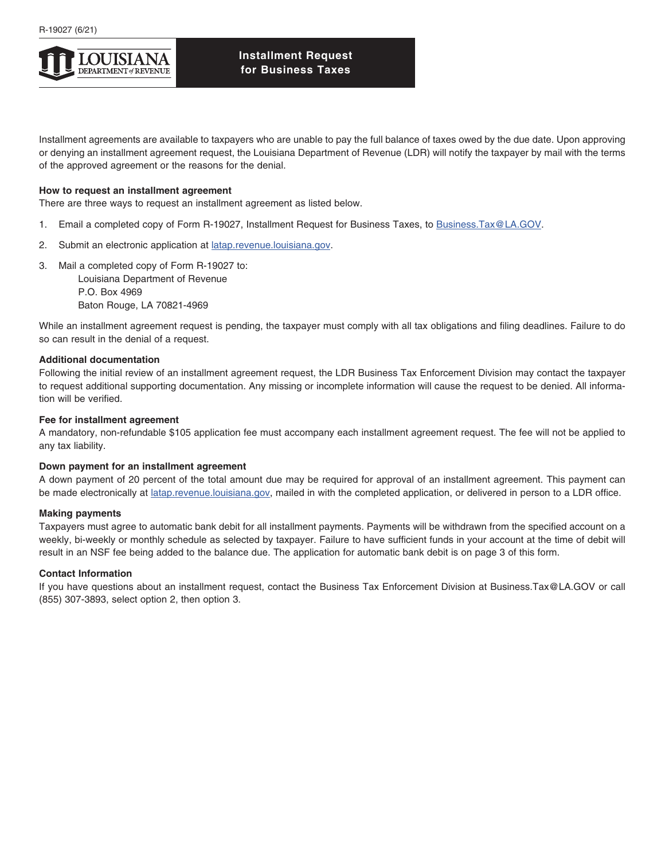

Installment agreements are available to taxpayers who are unable to pay the full balance of taxes owed by the due date. Upon approving or denying an installment agreement request, the Louisiana Department of Revenue (LDR) will notify the taxpayer by mail with the terms of the approved agreement or the reasons for the denial.

### **How to request an installment agreement**

There are three ways to request an installment agreement as listed below.

- 1. Email a completed copy of Form R-19027, Installment Request for Business Taxes, to [Business.Tax@LA.GOV.](mailto:Business.Tax%40LA.GOV?subject=)
- 2. Submit an electronic application at [latap.revenue.louisiana.gov](http://latap.revenue.louisiana.gov).
- 3. Mail a completed copy of Form R-19027 to: Louisiana Department of Revenue P.O. Box 4969 Baton Rouge, LA 70821-4969

While an installment agreement request is pending, the taxpayer must comply with all tax obligations and filing deadlines. Failure to do so can result in the denial of a request.

### **Additional documentation**

Following the initial review of an installment agreement request, the LDR Business Tax Enforcement Division may contact the taxpayer to request additional supporting documentation. Any missing or incomplete information will cause the request to be denied. All information will be verified.

### **Fee for installment agreement**

A mandatory, non-refundable \$105 application fee must accompany each installment agreement request. The fee will not be applied to any tax liability.

#### **Down payment for an installment agreement**

A down payment of 20 percent of the total amount due may be required for approval of an installment agreement. This payment can be made electronically at [latap.revenue.louisiana.gov,](http://latap.revenue.louisiana.gov) mailed in with the completed application, or delivered in person to a LDR office.

### **Making payments**

Taxpayers must agree to automatic bank debit for all installment payments. Payments will be withdrawn from the specified account on a weekly, bi-weekly or monthly schedule as selected by taxpayer. Failure to have sufficient funds in your account at the time of debit will result in an NSF fee being added to the balance due. The application for automatic bank debit is on page 3 of this form.

## **Contact Information**

If you have questions about an installment request, contact the Business Tax Enforcement Division at Business.Tax@LA.GOV or call (855) 307-3893, select option 2, then option 3.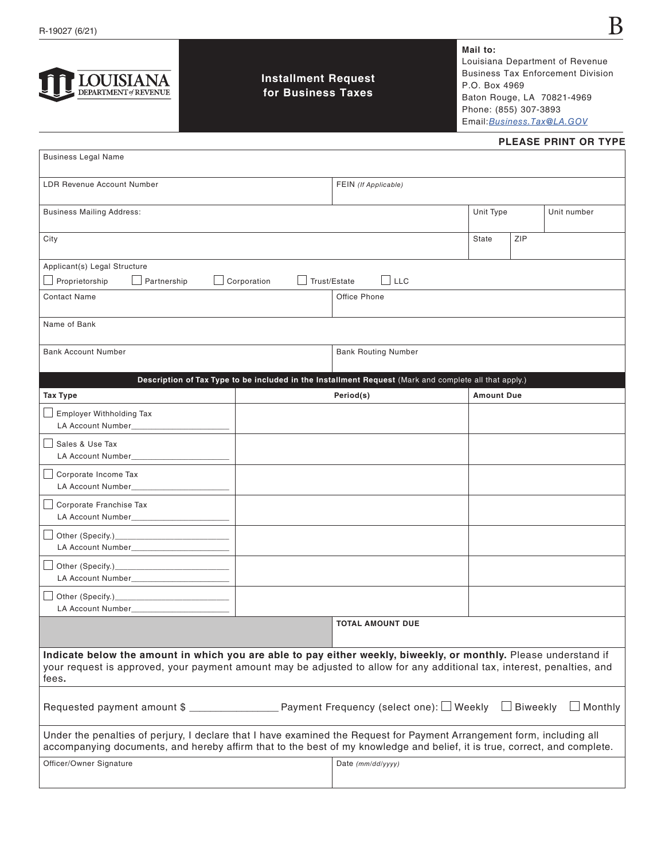# LOUISIANA

Business Legal Name

# **Installment Request for Business Taxes**

**Mail to:** Louisiana Department of Revenue Business Tax Enforcement Division P.O. Box 4969 Baton Rouge, LA 70821-4969 Phone: (855) 307-3893 Email:*[Business.Tax@LA.GOV](mailto:Business.Tax%40LA.GOV?subject=)*

**PLEASE PRINT OR TYPE**

| LDR Revenue Account Number                                                                                                                                                                                                                           |              | FEIN (If Applicable)                                                                                  |                   |                 |                |  |
|------------------------------------------------------------------------------------------------------------------------------------------------------------------------------------------------------------------------------------------------------|--------------|-------------------------------------------------------------------------------------------------------|-------------------|-----------------|----------------|--|
| <b>Business Mailing Address:</b>                                                                                                                                                                                                                     |              |                                                                                                       | Unit Type         |                 | Unit number    |  |
| City                                                                                                                                                                                                                                                 |              |                                                                                                       | State             | ZIP             |                |  |
| Applicant(s) Legal Structure                                                                                                                                                                                                                         |              |                                                                                                       |                   |                 |                |  |
| Proprietorship<br>Corporation<br>Partnership                                                                                                                                                                                                         | Trust/Estate | $\Box$ LLC                                                                                            |                   |                 |                |  |
| <b>Contact Name</b>                                                                                                                                                                                                                                  |              | Office Phone                                                                                          |                   |                 |                |  |
| Name of Bank                                                                                                                                                                                                                                         |              |                                                                                                       |                   |                 |                |  |
| <b>Bank Account Number</b>                                                                                                                                                                                                                           |              | <b>Bank Routing Number</b>                                                                            |                   |                 |                |  |
|                                                                                                                                                                                                                                                      |              | Description of Tax Type to be included in the Installment Request (Mark and complete all that apply.) |                   |                 |                |  |
| <b>Tax Type</b>                                                                                                                                                                                                                                      |              | Period(s)                                                                                             | <b>Amount Due</b> |                 |                |  |
| Employer Withholding Tax<br>LA Account Number                                                                                                                                                                                                        |              |                                                                                                       |                   |                 |                |  |
| Sales & Use Tax<br>LA Account Number___                                                                                                                                                                                                              |              |                                                                                                       |                   |                 |                |  |
| Corporate Income Tax<br>LA Account Number                                                                                                                                                                                                            |              |                                                                                                       |                   |                 |                |  |
| Corporate Franchise Tax<br>LA Account Number________________                                                                                                                                                                                         |              |                                                                                                       |                   |                 |                |  |
| LA Account Number__________________                                                                                                                                                                                                                  |              |                                                                                                       |                   |                 |                |  |
| Other (Specify.)_<br>the control of the control of the control of the control of<br>LA Account Number________________                                                                                                                                |              |                                                                                                       |                   |                 |                |  |
| LA Account Number                                                                                                                                                                                                                                    |              |                                                                                                       |                   |                 |                |  |
|                                                                                                                                                                                                                                                      |              | <b>TOTAL AMOUNT DUE</b>                                                                               |                   |                 |                |  |
| Indicate below the amount in which you are able to pay either weekly, biweekly, or monthly. Please understand if<br>your request is approved, your payment amount may be adjusted to allow for any additional tax, interest, penalties, and<br>fees. |              |                                                                                                       |                   |                 |                |  |
|                                                                                                                                                                                                                                                      |              |                                                                                                       |                   | $\Box$ Biweekly | $\Box$ Monthly |  |
| Under the penalties of perjury, I declare that I have examined the Request for Payment Arrangement form, including all<br>accompanying documents, and hereby affirm that to the best of my knowledge and belief, it is true, correct, and complete.  |              |                                                                                                       |                   |                 |                |  |
| Officer/Owner Signature                                                                                                                                                                                                                              |              | Date (mm/dd/yyyy)                                                                                     |                   |                 |                |  |